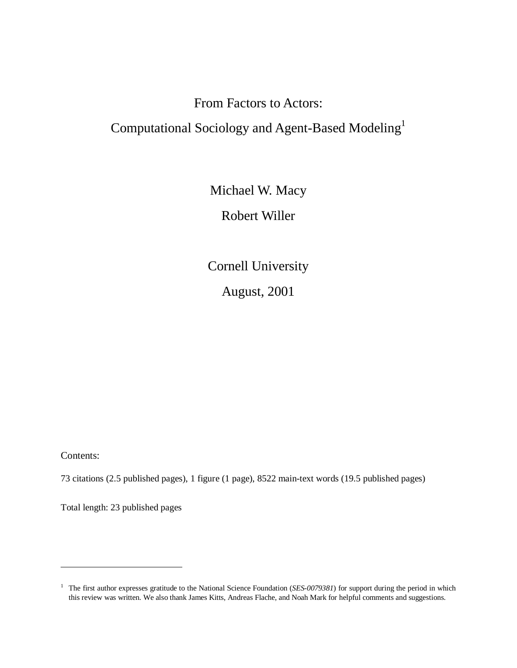# From Factors to Actors:

# Computational Sociology and Agent-Based Modeling1

Michael W. Macy

Robert Willer

Cornell University

August, 2001

Contents:

73 citations (2.5 published pages), 1 figure (1 page), 8522 main-text words (19.5 published pages)

Total length: 23 published pages

<sup>&</sup>lt;sup>1</sup> The first author expresses gratitude to the National Science Foundation (*SES-0079381*) for support during the period in which this review was written. We also thank James Kitts, Andreas Flache, and Noah Mark for helpful comments and suggestions.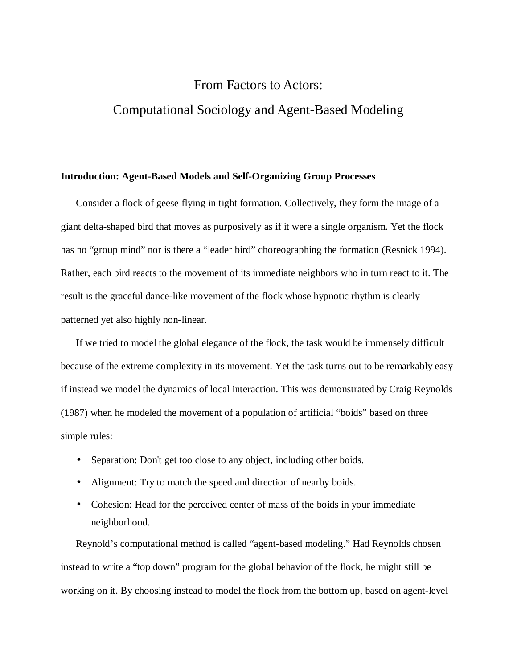# From Factors to Actors: Computational Sociology and Agent-Based Modeling

#### **Introduction: Agent-Based Models and Self-Organizing Group Processes**

Consider a flock of geese flying in tight formation. Collectively, they form the image of a giant delta-shaped bird that moves as purposively as if it were a single organism. Yet the flock has no "group mind" nor is there a "leader bird" choreographing the formation (Resnick 1994). Rather, each bird reacts to the movement of its immediate neighbors who in turn react to it. The result is the graceful dance-like movement of the flock whose hypnotic rhythm is clearly patterned yet also highly non-linear.

If we tried to model the global elegance of the flock, the task would be immensely difficult because of the extreme complexity in its movement. Yet the task turns out to be remarkably easy if instead we model the dynamics of local interaction. This was demonstrated by Craig Reynolds (1987) when he modeled the movement of a population of artificial "boids" based on three simple rules:

- Separation: Don't get too close to any object, including other boids.
- Alignment: Try to match the speed and direction of nearby boids.
- Cohesion: Head for the perceived center of mass of the boids in your immediate neighborhood.

Reynold's computational method is called "agent-based modeling." Had Reynolds chosen instead to write a "top down" program for the global behavior of the flock, he might still be working on it. By choosing instead to model the flock from the bottom up, based on agent-level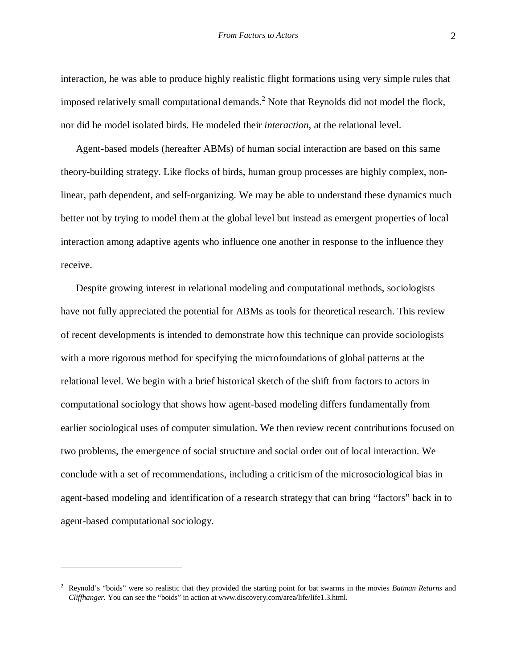interaction, he was able to produce highly realistic flight formations using very simple rules that imposed relatively small computational demands.<sup>2</sup> Note that Reynolds did not model the flock, nor did he model isolated birds. He modeled their *interaction*, at the relational level.

Agent-based models (hereafter ABMs) of human social interaction are based on this same theory-building strategy. Like flocks of birds, human group processes are highly complex, nonlinear, path dependent, and self-organizing. We may be able to understand these dynamics much better not by trying to model them at the global level but instead as emergent properties of local interaction among adaptive agents who influence one another in response to the influence they receive.

Despite growing interest in relational modeling and computational methods, sociologists have not fully appreciated the potential for ABMs as tools for theoretical research. This review of recent developments is intended to demonstrate how this technique can provide sociologists with a more rigorous method for specifying the microfoundations of global patterns at the relational level. We begin with a brief historical sketch of the shift from factors to actors in computational sociology that shows how agent-based modeling differs fundamentally from earlier sociological uses of computer simulation. We then review recent contributions focused on two problems, the emergence of social structure and social order out of local interaction. We conclude with a set of recommendations, including a criticism of the microsociological bias in agent-based modeling and identification of a research strategy that can bring "factors" back in to agent-based computational sociology.

<sup>2</sup> Reynold's "boids" were so realistic that they provided the starting point for bat swarms in the movies *Batman Returns* and *Cliffhanger*. You can see the "boids" in action at www.discovery.com/area/life/life1.3.html.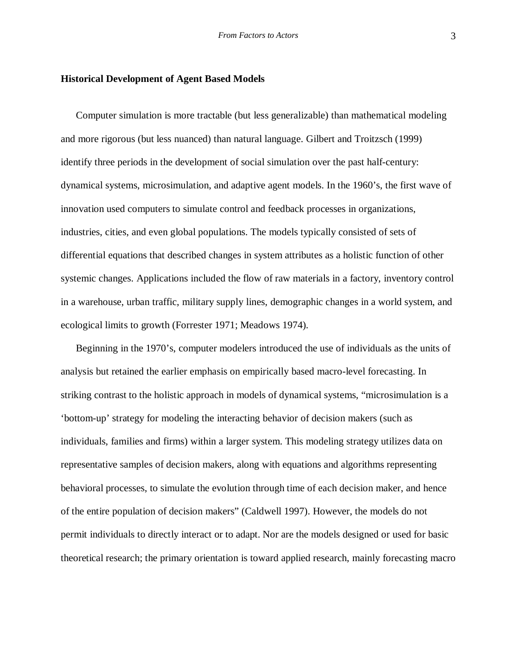#### **Historical Development of Agent Based Models**

Computer simulation is more tractable (but less generalizable) than mathematical modeling and more rigorous (but less nuanced) than natural language. Gilbert and Troitzsch (1999) identify three periods in the development of social simulation over the past half-century: dynamical systems, microsimulation, and adaptive agent models. In the 1960's, the first wave of innovation used computers to simulate control and feedback processes in organizations, industries, cities, and even global populations. The models typically consisted of sets of differential equations that described changes in system attributes as a holistic function of other systemic changes. Applications included the flow of raw materials in a factory, inventory control in a warehouse, urban traffic, military supply lines, demographic changes in a world system, and ecological limits to growth (Forrester 1971; Meadows 1974).

Beginning in the 1970's, computer modelers introduced the use of individuals as the units of analysis but retained the earlier emphasis on empirically based macro-level forecasting. In striking contrast to the holistic approach in models of dynamical systems, "microsimulation is a 'bottom-up' strategy for modeling the interacting behavior of decision makers (such as individuals, families and firms) within a larger system. This modeling strategy utilizes data on representative samples of decision makers, along with equations and algorithms representing behavioral processes, to simulate the evolution through time of each decision maker, and hence of the entire population of decision makers" (Caldwell 1997). However, the models do not permit individuals to directly interact or to adapt. Nor are the models designed or used for basic theoretical research; the primary orientation is toward applied research, mainly forecasting macro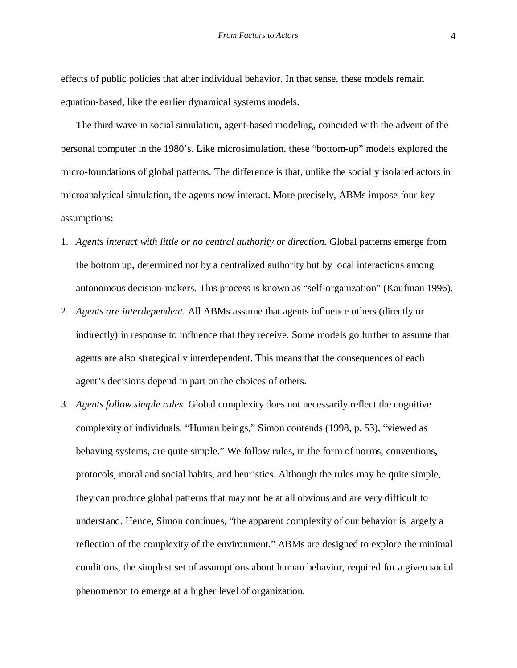effects of public policies that alter individual behavior. In that sense, these models remain equation-based, like the earlier dynamical systems models.

The third wave in social simulation, agent-based modeling, coincided with the advent of the personal computer in the 1980's. Like microsimulation, these "bottom-up" models explored the micro-foundations of global patterns. The difference is that, unlike the socially isolated actors in microanalytical simulation, the agents now interact. More precisely, ABMs impose four key assumptions:

- 1. *Agents interact with little or no central authority or direction.* Global patterns emerge from the bottom up, determined not by a centralized authority but by local interactions among autonomous decision-makers. This process is known as "self-organization" (Kaufman 1996).
- 2. *Agents are interdependent.* All ABMs assume that agents influence others (directly or indirectly) in response to influence that they receive. Some models go further to assume that agents are also strategically interdependent. This means that the consequences of each agent's decisions depend in part on the choices of others.
- 3. *Agents follow simple rules.* Global complexity does not necessarily reflect the cognitive complexity of individuals. "Human beings," Simon contends (1998, p. 53), "viewed as behaving systems, are quite simple." We follow rules, in the form of norms, conventions, protocols, moral and social habits, and heuristics. Although the rules may be quite simple, they can produce global patterns that may not be at all obvious and are very difficult to understand. Hence, Simon continues, "the apparent complexity of our behavior is largely a reflection of the complexity of the environment." ABMs are designed to explore the minimal conditions, the simplest set of assumptions about human behavior, required for a given social phenomenon to emerge at a higher level of organization.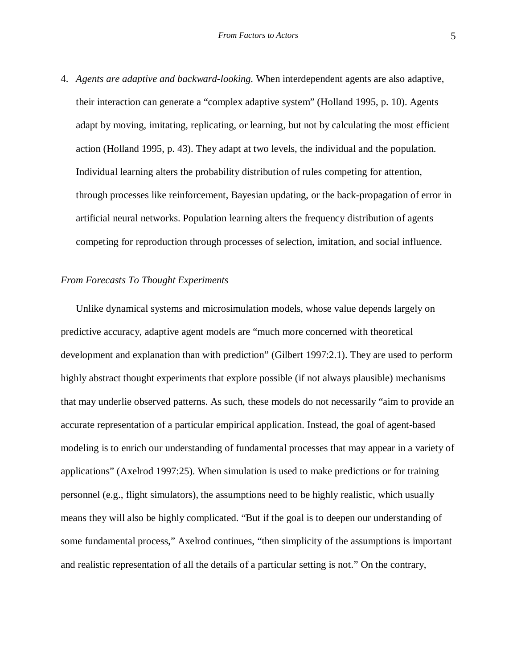4. *Agents are adaptive and backward-looking.* When interdependent agents are also adaptive, their interaction can generate a "complex adaptive system" (Holland 1995, p. 10). Agents adapt by moving, imitating, replicating, or learning, but not by calculating the most efficient action (Holland 1995, p. 43). They adapt at two levels, the individual and the population. Individual learning alters the probability distribution of rules competing for attention, through processes like reinforcement, Bayesian updating, or the back-propagation of error in artificial neural networks. Population learning alters the frequency distribution of agents competing for reproduction through processes of selection, imitation, and social influence.

#### *From Forecasts To Thought Experiments*

Unlike dynamical systems and microsimulation models, whose value depends largely on predictive accuracy, adaptive agent models are "much more concerned with theoretical development and explanation than with prediction" (Gilbert 1997:2.1). They are used to perform highly abstract thought experiments that explore possible (if not always plausible) mechanisms that may underlie observed patterns. As such, these models do not necessarily "aim to provide an accurate representation of a particular empirical application. Instead, the goal of agent-based modeling is to enrich our understanding of fundamental processes that may appear in a variety of applications" (Axelrod 1997:25). When simulation is used to make predictions or for training personnel (e.g., flight simulators), the assumptions need to be highly realistic, which usually means they will also be highly complicated. "But if the goal is to deepen our understanding of some fundamental process," Axelrod continues, "then simplicity of the assumptions is important and realistic representation of all the details of a particular setting is not." On the contrary,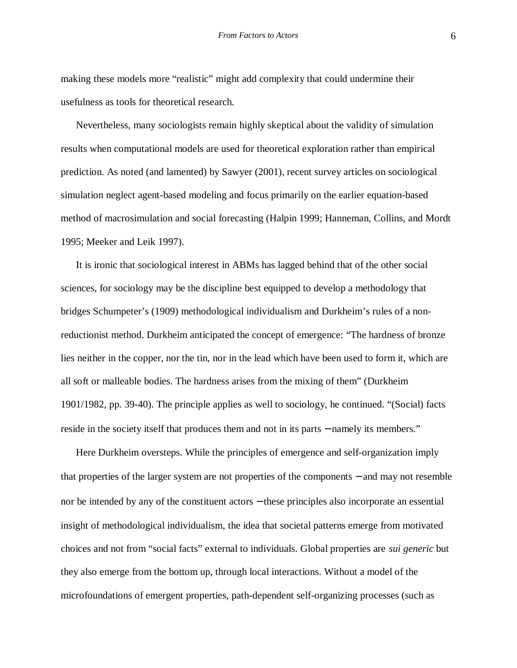making these models more "realistic" might add complexity that could undermine their usefulness as tools for theoretical research.

Nevertheless, many sociologists remain highly skeptical about the validity of simulation results when computational models are used for theoretical exploration rather than empirical prediction. As noted (and lamented) by Sawyer (2001), recent survey articles on sociological simulation neglect agent-based modeling and focus primarily on the earlier equation-based method of macrosimulation and social forecasting (Halpin 1999; Hanneman, Collins, and Mordt 1995; Meeker and Leik 1997).

It is ironic that sociological interest in ABMs has lagged behind that of the other social sciences, for sociology may be the discipline best equipped to develop a methodology that bridges Schumpeter's (1909) methodological individualism and Durkheim's rules of a nonreductionist method. Durkheim anticipated the concept of emergence: "The hardness of bronze lies neither in the copper, nor the tin, nor in the lead which have been used to form it, which are all soft or malleable bodies. The hardness arises from the mixing of them" (Durkheim 1901/1982, pp. 39-40). The principle applies as well to sociology, he continued. "(Social) facts reside in the society itself that produces them and not in its parts − namely its members."

Here Durkheim oversteps. While the principles of emergence and self-organization imply that properties of the larger system are not properties of the components − and may not resemble nor be intended by any of the constituent actors – these principles also incorporate an essential insight of methodological individualism, the idea that societal patterns emerge from motivated choices and not from "social facts" external to individuals. Global properties are *sui generic* but they also emerge from the bottom up, through local interactions. Without a model of the microfoundations of emergent properties, path-dependent self-organizing processes (such as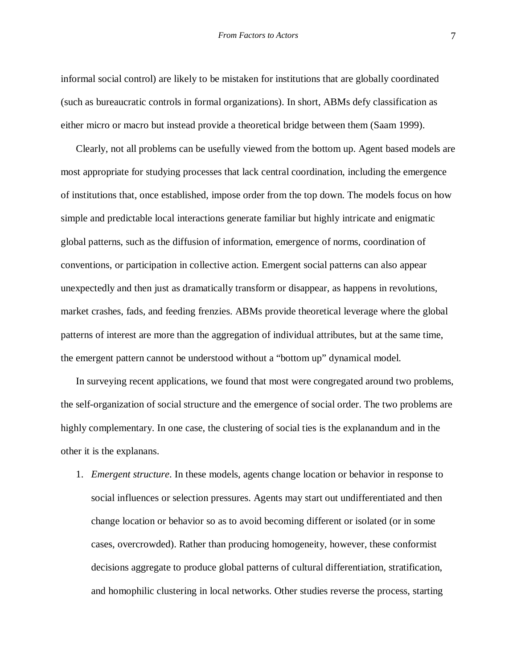informal social control) are likely to be mistaken for institutions that are globally coordinated (such as bureaucratic controls in formal organizations). In short, ABMs defy classification as either micro or macro but instead provide a theoretical bridge between them (Saam 1999).

Clearly, not all problems can be usefully viewed from the bottom up. Agent based models are most appropriate for studying processes that lack central coordination, including the emergence of institutions that, once established, impose order from the top down. The models focus on how simple and predictable local interactions generate familiar but highly intricate and enigmatic global patterns, such as the diffusion of information, emergence of norms, coordination of conventions, or participation in collective action. Emergent social patterns can also appear unexpectedly and then just as dramatically transform or disappear, as happens in revolutions, market crashes, fads, and feeding frenzies. ABMs provide theoretical leverage where the global patterns of interest are more than the aggregation of individual attributes, but at the same time, the emergent pattern cannot be understood without a "bottom up" dynamical model.

In surveying recent applications, we found that most were congregated around two problems, the self-organization of social structure and the emergence of social order. The two problems are highly complementary. In one case, the clustering of social ties is the explanandum and in the other it is the explanans.

1. *Emergent structure*. In these models, agents change location or behavior in response to social influences or selection pressures. Agents may start out undifferentiated and then change location or behavior so as to avoid becoming different or isolated (or in some cases, overcrowded). Rather than producing homogeneity, however, these conformist decisions aggregate to produce global patterns of cultural differentiation, stratification, and homophilic clustering in local networks. Other studies reverse the process, starting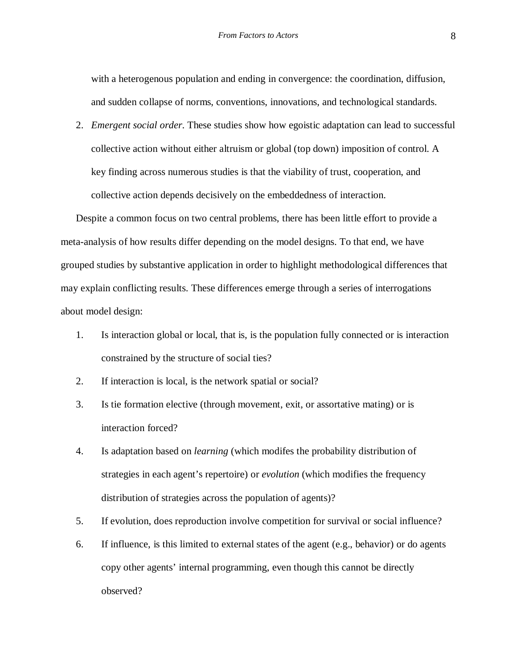with a heterogenous population and ending in convergence: the coordination, diffusion, and sudden collapse of norms, conventions, innovations, and technological standards.

2. *Emergent social order*. These studies show how egoistic adaptation can lead to successful collective action without either altruism or global (top down) imposition of control. A key finding across numerous studies is that the viability of trust, cooperation, and collective action depends decisively on the embeddedness of interaction.

Despite a common focus on two central problems, there has been little effort to provide a meta-analysis of how results differ depending on the model designs. To that end, we have grouped studies by substantive application in order to highlight methodological differences that may explain conflicting results. These differences emerge through a series of interrogations about model design:

- 1. Is interaction global or local, that is, is the population fully connected or is interaction constrained by the structure of social ties?
- 2. If interaction is local, is the network spatial or social?
- 3. Is tie formation elective (through movement, exit, or assortative mating) or is interaction forced?
- 4. Is adaptation based on *learning* (which modifes the probability distribution of strategies in each agent's repertoire) or *evolution* (which modifies the frequency distribution of strategies across the population of agents)?
- 5. If evolution, does reproduction involve competition for survival or social influence?
- 6. If influence, is this limited to external states of the agent (e.g., behavior) or do agents copy other agents' internal programming, even though this cannot be directly observed?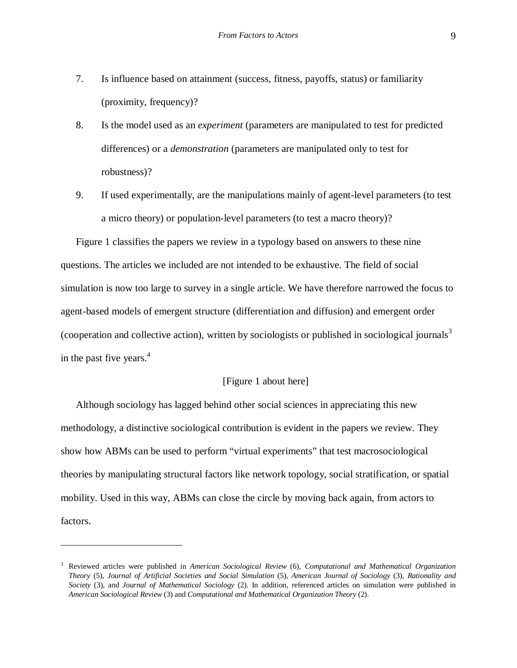- 7. Is influence based on attainment (success, fitness, payoffs, status) or familiarity (proximity, frequency)?
- 8. Is the model used as an *experiment* (parameters are manipulated to test for predicted differences) or a *demonstration* (parameters are manipulated only to test for robustness)?
- 9. If used experimentally, are the manipulations mainly of agent-level parameters (to test a micro theory) or population-level parameters (to test a macro theory)?

Figure 1 classifies the papers we review in a typology based on answers to these nine questions. The articles we included are not intended to be exhaustive. The field of social simulation is now too large to survey in a single article. We have therefore narrowed the focus to agent-based models of emergent structure (differentiation and diffusion) and emergent order (cooperation and collective action), written by sociologists or published in sociological journals<sup>3</sup> in the past five years. $4$ 

# [Figure 1 about here]

Although sociology has lagged behind other social sciences in appreciating this new methodology, a distinctive sociological contribution is evident in the papers we review. They show how ABMs can be used to perform "virtual experiments" that test macrosociological theories by manipulating structural factors like network topology, social stratification, or spatial mobility. Used in this way, ABMs can close the circle by moving back again, from actors to factors.

<sup>3</sup> Reviewed articles were published in *American Sociological Review* (6), *Computational and Mathematical Organization Theory* (5), *Journal of Artificial Societies and Social Simulation* (5), *American Journal of Sociology* (3), *Rationality and Society* (3), and *Journal of Mathematical Sociology* (2). In addition, referenced articles on simulation were published in *American Sociological Review* (3) and *Computational and Mathematical Organization Theory* (2).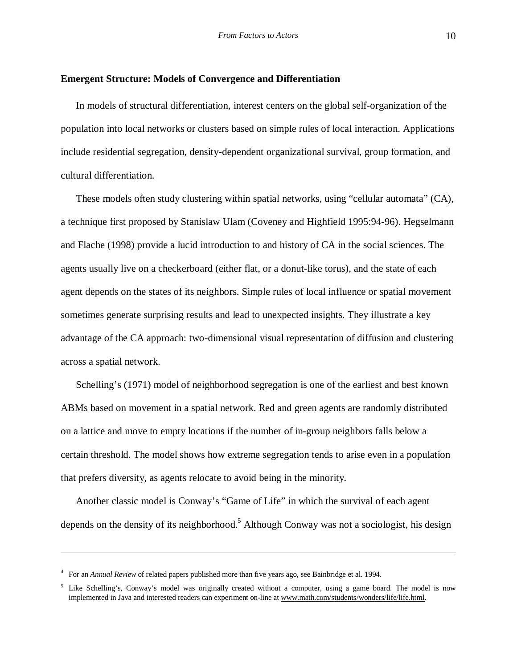#### **Emergent Structure: Models of Convergence and Differentiation**

In models of structural differentiation, interest centers on the global self-organization of the population into local networks or clusters based on simple rules of local interaction. Applications include residential segregation, density-dependent organizational survival, group formation, and cultural differentiation.

These models often study clustering within spatial networks, using "cellular automata" (CA), a technique first proposed by Stanislaw Ulam (Coveney and Highfield 1995:94-96). Hegselmann and Flache (1998) provide a lucid introduction to and history of CA in the social sciences. The agents usually live on a checkerboard (either flat, or a donut-like torus), and the state of each agent depends on the states of its neighbors. Simple rules of local influence or spatial movement sometimes generate surprising results and lead to unexpected insights. They illustrate a key advantage of the CA approach: two-dimensional visual representation of diffusion and clustering across a spatial network.

Schelling's (1971) model of neighborhood segregation is one of the earliest and best known ABMs based on movement in a spatial network. Red and green agents are randomly distributed on a lattice and move to empty locations if the number of in-group neighbors falls below a certain threshold. The model shows how extreme segregation tends to arise even in a population that prefers diversity, as agents relocate to avoid being in the minority.

Another classic model is Conway's "Game of Life" in which the survival of each agent depends on the density of its neighborhood.<sup>5</sup> Although Conway was not a sociologist, his design

<sup>4</sup> For an *Annual Review* of related papers published more than five years ago, see Bainbridge et al. 1994.

<sup>&</sup>lt;sup>5</sup> Like Schelling's, Conway's model was originally created without a computer, using a game board. The model is now implemented in Java and interested readers can experiment on-line at www.math.com/students/wonders/life/life.html.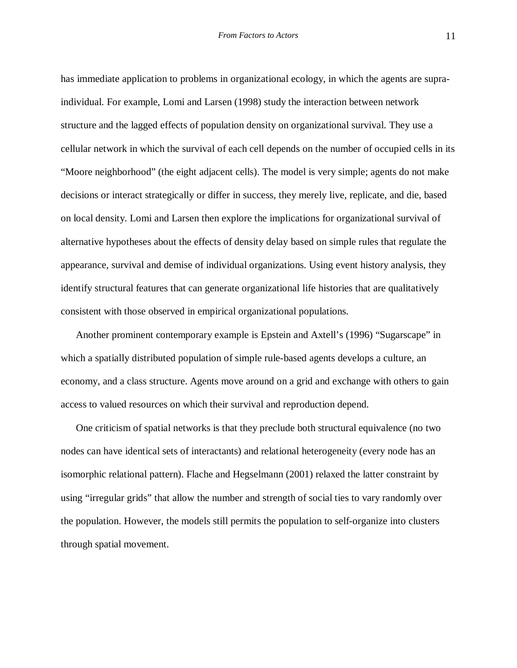has immediate application to problems in organizational ecology, in which the agents are supraindividual. For example, Lomi and Larsen (1998) study the interaction between network structure and the lagged effects of population density on organizational survival. They use a cellular network in which the survival of each cell depends on the number of occupied cells in its "Moore neighborhood" (the eight adjacent cells). The model is very simple; agents do not make decisions or interact strategically or differ in success, they merely live, replicate, and die, based on local density. Lomi and Larsen then explore the implications for organizational survival of alternative hypotheses about the effects of density delay based on simple rules that regulate the appearance, survival and demise of individual organizations. Using event history analysis, they identify structural features that can generate organizational life histories that are qualitatively consistent with those observed in empirical organizational populations.

Another prominent contemporary example is Epstein and Axtell's (1996) "Sugarscape" in which a spatially distributed population of simple rule-based agents develops a culture, an economy, and a class structure. Agents move around on a grid and exchange with others to gain access to valued resources on which their survival and reproduction depend.

One criticism of spatial networks is that they preclude both structural equivalence (no two nodes can have identical sets of interactants) and relational heterogeneity (every node has an isomorphic relational pattern). Flache and Hegselmann (2001) relaxed the latter constraint by using "irregular grids" that allow the number and strength of social ties to vary randomly over the population. However, the models still permits the population to self-organize into clusters through spatial movement.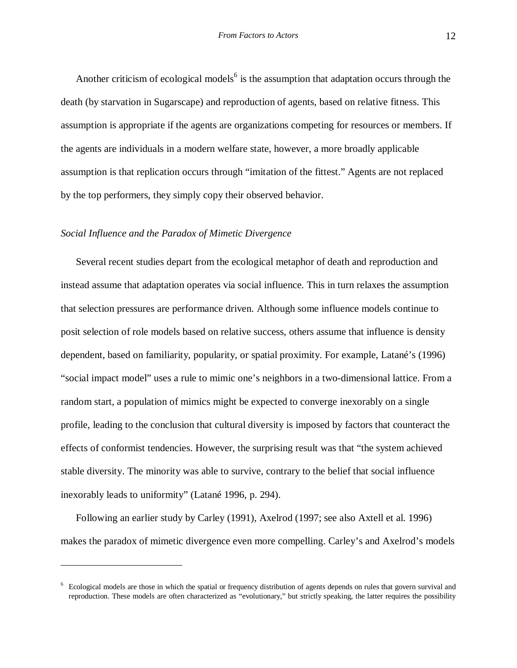Another criticism of ecological models<sup>6</sup> is the assumption that adaptation occurs through the death (by starvation in Sugarscape) and reproduction of agents, based on relative fitness. This assumption is appropriate if the agents are organizations competing for resources or members. If the agents are individuals in a modern welfare state, however, a more broadly applicable assumption is that replication occurs through "imitation of the fittest." Agents are not replaced by the top performers, they simply copy their observed behavior.

#### *Social Influence and the Paradox of Mimetic Divergence*

Several recent studies depart from the ecological metaphor of death and reproduction and instead assume that adaptation operates via social influence. This in turn relaxes the assumption that selection pressures are performance driven. Although some influence models continue to posit selection of role models based on relative success, others assume that influence is density dependent, based on familiarity, popularity, or spatial proximity. For example, Latané's (1996) "social impact model" uses a rule to mimic one's neighbors in a two-dimensional lattice. From a random start, a population of mimics might be expected to converge inexorably on a single profile, leading to the conclusion that cultural diversity is imposed by factors that counteract the effects of conformist tendencies. However, the surprising result was that "the system achieved stable diversity. The minority was able to survive, contrary to the belief that social influence inexorably leads to uniformity" (Latané 1996, p. 294).

Following an earlier study by Carley (1991), Axelrod (1997; see also Axtell et al. 1996) makes the paradox of mimetic divergence even more compelling. Carley's and Axelrod's models

<sup>6</sup> Ecological models are those in which the spatial or frequency distribution of agents depends on rules that govern survival and reproduction. These models are often characterized as "evolutionary," but strictly speaking, the latter requires the possibility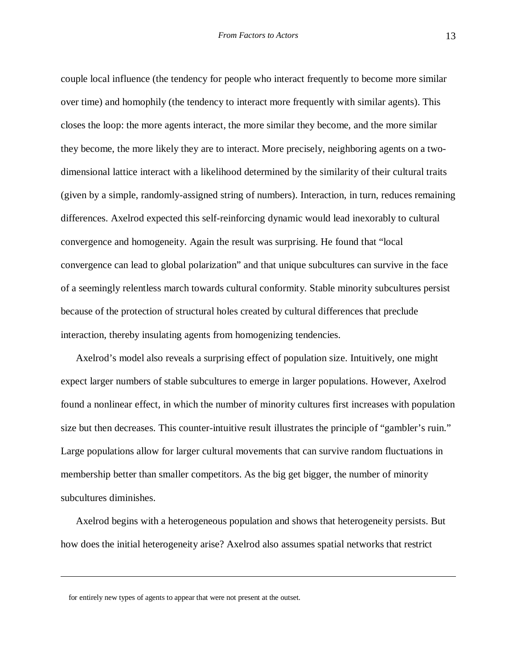couple local influence (the tendency for people who interact frequently to become more similar over time) and homophily (the tendency to interact more frequently with similar agents). This closes the loop: the more agents interact, the more similar they become, and the more similar they become, the more likely they are to interact. More precisely, neighboring agents on a twodimensional lattice interact with a likelihood determined by the similarity of their cultural traits (given by a simple, randomly-assigned string of numbers). Interaction, in turn, reduces remaining differences. Axelrod expected this self-reinforcing dynamic would lead inexorably to cultural convergence and homogeneity. Again the result was surprising. He found that "local convergence can lead to global polarization" and that unique subcultures can survive in the face of a seemingly relentless march towards cultural conformity. Stable minority subcultures persist because of the protection of structural holes created by cultural differences that preclude interaction, thereby insulating agents from homogenizing tendencies.

Axelrod's model also reveals a surprising effect of population size. Intuitively, one might expect larger numbers of stable subcultures to emerge in larger populations. However, Axelrod found a nonlinear effect, in which the number of minority cultures first increases with population size but then decreases. This counter-intuitive result illustrates the principle of "gambler's ruin." Large populations allow for larger cultural movements that can survive random fluctuations in membership better than smaller competitors. As the big get bigger, the number of minority subcultures diminishes.

Axelrod begins with a heterogeneous population and shows that heterogeneity persists. But how does the initial heterogeneity arise? Axelrod also assumes spatial networks that restrict

for entirely new types of agents to appear that were not present at the outset.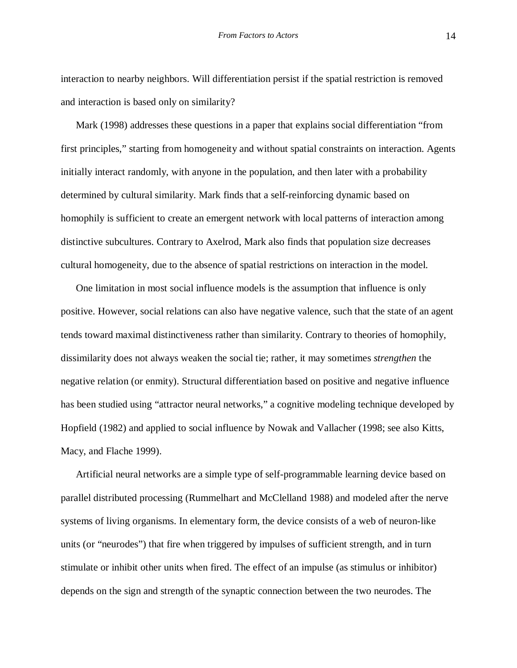interaction to nearby neighbors. Will differentiation persist if the spatial restriction is removed and interaction is based only on similarity?

Mark (1998) addresses these questions in a paper that explains social differentiation "from first principles," starting from homogeneity and without spatial constraints on interaction. Agents initially interact randomly, with anyone in the population, and then later with a probability determined by cultural similarity. Mark finds that a self-reinforcing dynamic based on homophily is sufficient to create an emergent network with local patterns of interaction among distinctive subcultures. Contrary to Axelrod, Mark also finds that population size decreases cultural homogeneity, due to the absence of spatial restrictions on interaction in the model.

One limitation in most social influence models is the assumption that influence is only positive. However, social relations can also have negative valence, such that the state of an agent tends toward maximal distinctiveness rather than similarity. Contrary to theories of homophily, dissimilarity does not always weaken the social tie; rather, it may sometimes *strengthen* the negative relation (or enmity). Structural differentiation based on positive and negative influence has been studied using "attractor neural networks," a cognitive modeling technique developed by Hopfield (1982) and applied to social influence by Nowak and Vallacher (1998; see also Kitts, Macy, and Flache 1999).

Artificial neural networks are a simple type of self-programmable learning device based on parallel distributed processing (Rummelhart and McClelland 1988) and modeled after the nerve systems of living organisms. In elementary form, the device consists of a web of neuron-like units (or "neurodes") that fire when triggered by impulses of sufficient strength, and in turn stimulate or inhibit other units when fired. The effect of an impulse (as stimulus or inhibitor) depends on the sign and strength of the synaptic connection between the two neurodes. The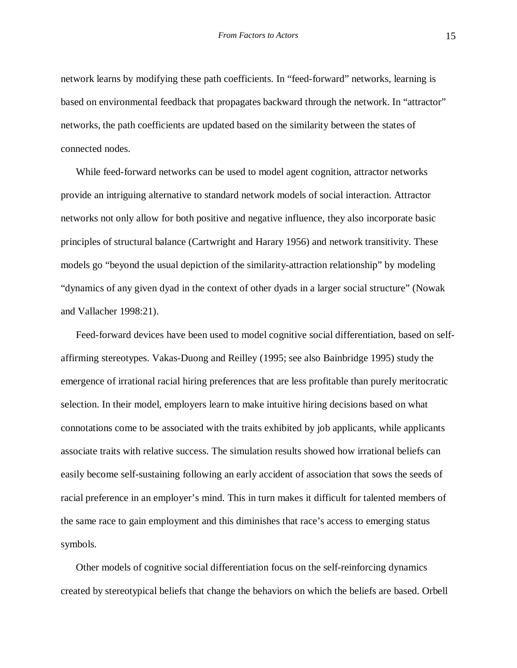network learns by modifying these path coefficients. In "feed-forward" networks, learning is based on environmental feedback that propagates backward through the network. In "attractor" networks, the path coefficients are updated based on the similarity between the states of connected nodes.

While feed-forward networks can be used to model agent cognition, attractor networks provide an intriguing alternative to standard network models of social interaction. Attractor networks not only allow for both positive and negative influence, they also incorporate basic principles of structural balance (Cartwright and Harary 1956) and network transitivity. These models go "beyond the usual depiction of the similarity-attraction relationship" by modeling "dynamics of any given dyad in the context of other dyads in a larger social structure" (Nowak and Vallacher 1998:21).

Feed-forward devices have been used to model cognitive social differentiation, based on selfaffirming stereotypes. Vakas-Duong and Reilley (1995; see also Bainbridge 1995) study the emergence of irrational racial hiring preferences that are less profitable than purely meritocratic selection. In their model, employers learn to make intuitive hiring decisions based on what connotations come to be associated with the traits exhibited by job applicants, while applicants associate traits with relative success. The simulation results showed how irrational beliefs can easily become self-sustaining following an early accident of association that sows the seeds of racial preference in an employer's mind. This in turn makes it difficult for talented members of the same race to gain employment and this diminishes that race's access to emerging status symbols.

Other models of cognitive social differentiation focus on the self-reinforcing dynamics created by stereotypical beliefs that change the behaviors on which the beliefs are based. Orbell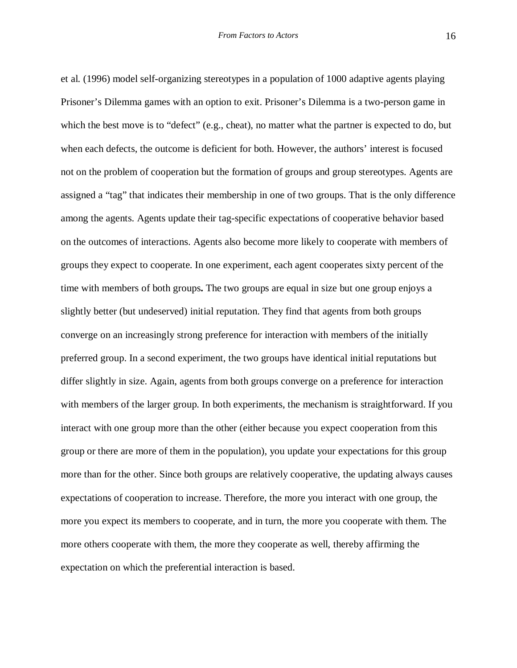et al. (1996) model self-organizing stereotypes in a population of 1000 adaptive agents playing Prisoner's Dilemma games with an option to exit. Prisoner's Dilemma is a two-person game in which the best move is to "defect" (e.g., cheat), no matter what the partner is expected to do, but when each defects, the outcome is deficient for both. However, the authors' interest is focused not on the problem of cooperation but the formation of groups and group stereotypes. Agents are assigned a "tag" that indicates their membership in one of two groups. That is the only difference among the agents. Agents update their tag-specific expectations of cooperative behavior based on the outcomes of interactions. Agents also become more likely to cooperate with members of groups they expect to cooperate. In one experiment, each agent cooperates sixty percent of the time with members of both groups**.** The two groups are equal in size but one group enjoys a slightly better (but undeserved) initial reputation. They find that agents from both groups converge on an increasingly strong preference for interaction with members of the initially preferred group. In a second experiment, the two groups have identical initial reputations but differ slightly in size. Again, agents from both groups converge on a preference for interaction with members of the larger group. In both experiments, the mechanism is straightforward. If you interact with one group more than the other (either because you expect cooperation from this group or there are more of them in the population), you update your expectations for this group more than for the other. Since both groups are relatively cooperative, the updating always causes expectations of cooperation to increase. Therefore, the more you interact with one group, the more you expect its members to cooperate, and in turn, the more you cooperate with them. The more others cooperate with them, the more they cooperate as well, thereby affirming the expectation on which the preferential interaction is based.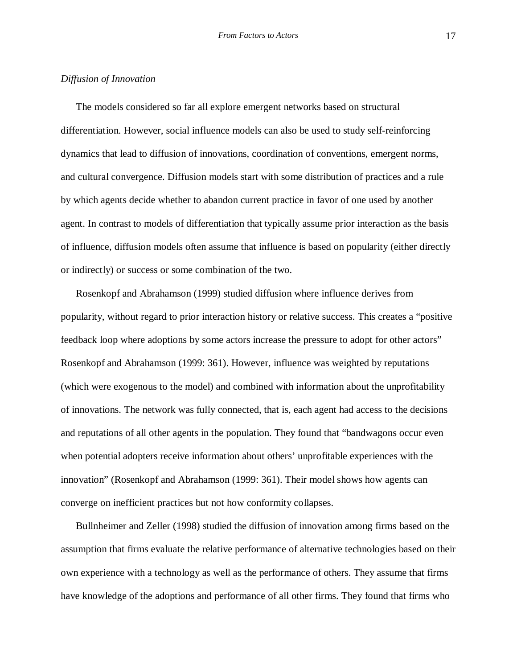## *Diffusion of Innovation*

The models considered so far all explore emergent networks based on structural differentiation. However, social influence models can also be used to study self-reinforcing dynamics that lead to diffusion of innovations, coordination of conventions, emergent norms, and cultural convergence. Diffusion models start with some distribution of practices and a rule by which agents decide whether to abandon current practice in favor of one used by another agent. In contrast to models of differentiation that typically assume prior interaction as the basis of influence, diffusion models often assume that influence is based on popularity (either directly or indirectly) or success or some combination of the two.

Rosenkopf and Abrahamson (1999) studied diffusion where influence derives from popularity, without regard to prior interaction history or relative success. This creates a "positive feedback loop where adoptions by some actors increase the pressure to adopt for other actors" Rosenkopf and Abrahamson (1999: 361). However, influence was weighted by reputations (which were exogenous to the model) and combined with information about the unprofitability of innovations. The network was fully connected, that is, each agent had access to the decisions and reputations of all other agents in the population. They found that "bandwagons occur even when potential adopters receive information about others' unprofitable experiences with the innovation" (Rosenkopf and Abrahamson (1999: 361). Their model shows how agents can converge on inefficient practices but not how conformity collapses.

Bullnheimer and Zeller (1998) studied the diffusion of innovation among firms based on the assumption that firms evaluate the relative performance of alternative technologies based on their own experience with a technology as well as the performance of others. They assume that firms have knowledge of the adoptions and performance of all other firms. They found that firms who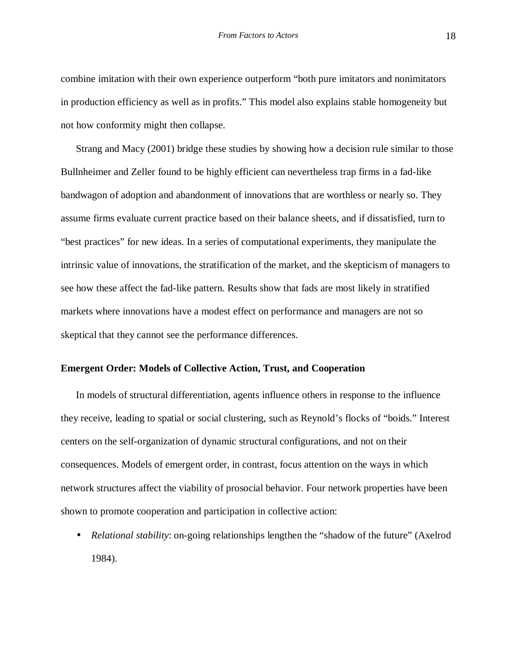combine imitation with their own experience outperform "both pure imitators and nonimitators in production efficiency as well as in profits." This model also explains stable homogeneity but not how conformity might then collapse.

Strang and Macy (2001) bridge these studies by showing how a decision rule similar to those Bullnheimer and Zeller found to be highly efficient can nevertheless trap firms in a fad-like bandwagon of adoption and abandonment of innovations that are worthless or nearly so. They assume firms evaluate current practice based on their balance sheets, and if dissatisfied, turn to "best practices" for new ideas. In a series of computational experiments, they manipulate the intrinsic value of innovations, the stratification of the market, and the skepticism of managers to see how these affect the fad-like pattern. Results show that fads are most likely in stratified markets where innovations have a modest effect on performance and managers are not so skeptical that they cannot see the performance differences.

#### **Emergent Order: Models of Collective Action, Trust, and Cooperation**

In models of structural differentiation, agents influence others in response to the influence they receive, leading to spatial or social clustering, such as Reynold's flocks of "boids." Interest centers on the self-organization of dynamic structural configurations, and not on their consequences. Models of emergent order, in contrast, focus attention on the ways in which network structures affect the viability of prosocial behavior. Four network properties have been shown to promote cooperation and participation in collective action:

• *Relational stability*: on-going relationships lengthen the "shadow of the future" (Axelrod 1984).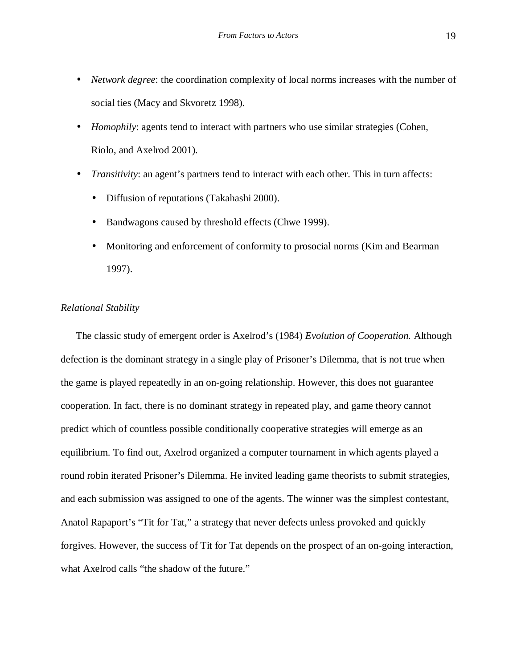- *Network degree:* the coordination complexity of local norms increases with the number of social ties (Macy and Skvoretz 1998).
- *Homophily*: agents tend to interact with partners who use similar strategies (Cohen, Riolo, and Axelrod 2001).
- *Transitivity*: an agent's partners tend to interact with each other. This in turn affects:
	- Diffusion of reputations (Takahashi 2000).
	- Bandwagons caused by threshold effects (Chwe 1999).
	- Monitoring and enforcement of conformity to prosocial norms (Kim and Bearman 1997).

# *Relational Stability*

The classic study of emergent order is Axelrod's (1984) *Evolution of Cooperation.* Although defection is the dominant strategy in a single play of Prisoner's Dilemma, that is not true when the game is played repeatedly in an on-going relationship. However, this does not guarantee cooperation. In fact, there is no dominant strategy in repeated play, and game theory cannot predict which of countless possible conditionally cooperative strategies will emerge as an equilibrium. To find out, Axelrod organized a computer tournament in which agents played a round robin iterated Prisoner's Dilemma. He invited leading game theorists to submit strategies, and each submission was assigned to one of the agents. The winner was the simplest contestant, Anatol Rapaport's "Tit for Tat," a strategy that never defects unless provoked and quickly forgives. However, the success of Tit for Tat depends on the prospect of an on-going interaction, what Axelrod calls "the shadow of the future."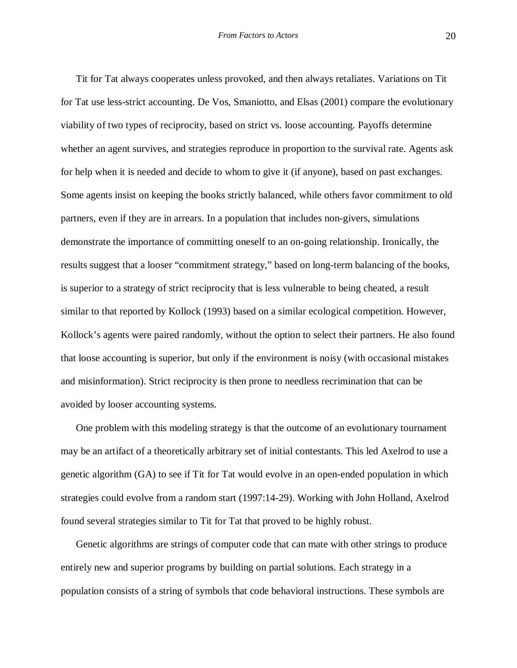Tit for Tat always cooperates unless provoked, and then always retaliates. Variations on Tit for Tat use less-strict accounting. De Vos, Smaniotto, and Elsas (2001) compare the evolutionary viability of two types of reciprocity, based on strict vs. loose accounting. Payoffs determine whether an agent survives, and strategies reproduce in proportion to the survival rate. Agents ask for help when it is needed and decide to whom to give it (if anyone), based on past exchanges. Some agents insist on keeping the books strictly balanced, while others favor commitment to old partners, even if they are in arrears. In a population that includes non-givers, simulations demonstrate the importance of committing oneself to an on-going relationship. Ironically, the results suggest that a looser "commitment strategy," based on long-term balancing of the books, is superior to a strategy of strict reciprocity that is less vulnerable to being cheated, a result similar to that reported by Kollock (1993) based on a similar ecological competition. However, Kollock's agents were paired randomly, without the option to select their partners. He also found that loose accounting is superior, but only if the environment is noisy (with occasional mistakes and misinformation). Strict reciprocity is then prone to needless recrimination that can be avoided by looser accounting systems.

One problem with this modeling strategy is that the outcome of an evolutionary tournament may be an artifact of a theoretically arbitrary set of initial contestants. This led Axelrod to use a genetic algorithm (GA) to see if Tit for Tat would evolve in an open-ended population in which strategies could evolve from a random start (1997:14-29). Working with John Holland, Axelrod found several strategies similar to Tit for Tat that proved to be highly robust.

Genetic algorithms are strings of computer code that can mate with other strings to produce entirely new and superior programs by building on partial solutions. Each strategy in a population consists of a string of symbols that code behavioral instructions. These symbols are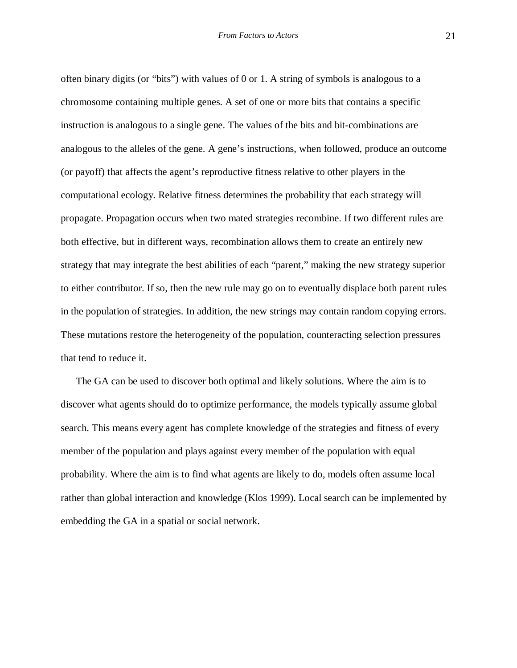often binary digits (or "bits") with values of 0 or 1. A string of symbols is analogous to a chromosome containing multiple genes. A set of one or more bits that contains a specific instruction is analogous to a single gene. The values of the bits and bit-combinations are analogous to the alleles of the gene. A gene's instructions, when followed, produce an outcome (or payoff) that affects the agent's reproductive fitness relative to other players in the computational ecology. Relative fitness determines the probability that each strategy will propagate. Propagation occurs when two mated strategies recombine. If two different rules are both effective, but in different ways, recombination allows them to create an entirely new strategy that may integrate the best abilities of each "parent," making the new strategy superior to either contributor. If so, then the new rule may go on to eventually displace both parent rules in the population of strategies. In addition, the new strings may contain random copying errors. These mutations restore the heterogeneity of the population, counteracting selection pressures that tend to reduce it.

The GA can be used to discover both optimal and likely solutions. Where the aim is to discover what agents should do to optimize performance, the models typically assume global search. This means every agent has complete knowledge of the strategies and fitness of every member of the population and plays against every member of the population with equal probability. Where the aim is to find what agents are likely to do, models often assume local rather than global interaction and knowledge (Klos 1999). Local search can be implemented by embedding the GA in a spatial or social network.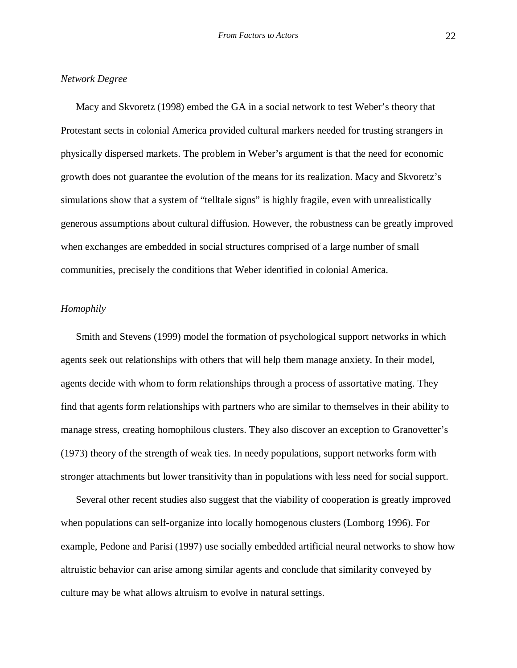# *Network Degree*

Macy and Skvoretz (1998) embed the GA in a social network to test Weber's theory that Protestant sects in colonial America provided cultural markers needed for trusting strangers in physically dispersed markets. The problem in Weber's argument is that the need for economic growth does not guarantee the evolution of the means for its realization. Macy and Skvoretz's simulations show that a system of "telltale signs" is highly fragile, even with unrealistically generous assumptions about cultural diffusion. However, the robustness can be greatly improved when exchanges are embedded in social structures comprised of a large number of small communities, precisely the conditions that Weber identified in colonial America.

# *Homophily*

Smith and Stevens (1999) model the formation of psychological support networks in which agents seek out relationships with others that will help them manage anxiety. In their model, agents decide with whom to form relationships through a process of assortative mating. They find that agents form relationships with partners who are similar to themselves in their ability to manage stress, creating homophilous clusters. They also discover an exception to Granovetter's (1973) theory of the strength of weak ties. In needy populations, support networks form with stronger attachments but lower transitivity than in populations with less need for social support.

Several other recent studies also suggest that the viability of cooperation is greatly improved when populations can self-organize into locally homogenous clusters (Lomborg 1996). For example, Pedone and Parisi (1997) use socially embedded artificial neural networks to show how altruistic behavior can arise among similar agents and conclude that similarity conveyed by culture may be what allows altruism to evolve in natural settings.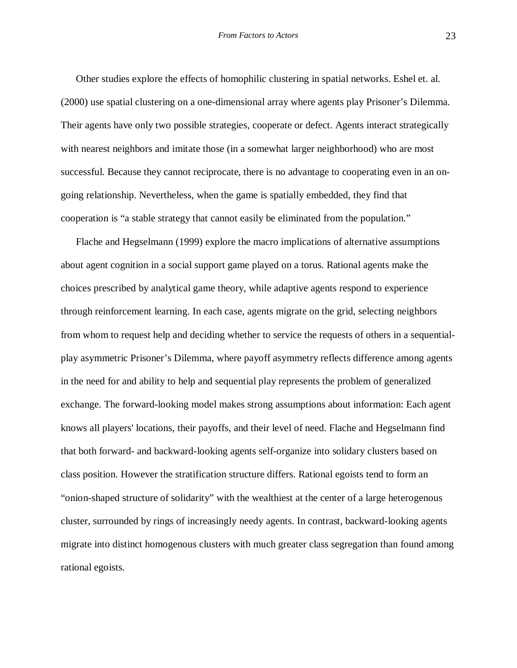Other studies explore the effects of homophilic clustering in spatial networks. Eshel et. al. (2000) use spatial clustering on a one-dimensional array where agents play Prisoner's Dilemma. Their agents have only two possible strategies, cooperate or defect. Agents interact strategically with nearest neighbors and imitate those (in a somewhat larger neighborhood) who are most successful. Because they cannot reciprocate, there is no advantage to cooperating even in an ongoing relationship. Nevertheless, when the game is spatially embedded, they find that cooperation is "a stable strategy that cannot easily be eliminated from the population."

Flache and Hegselmann (1999) explore the macro implications of alternative assumptions about agent cognition in a social support game played on a torus. Rational agents make the choices prescribed by analytical game theory, while adaptive agents respond to experience through reinforcement learning. In each case, agents migrate on the grid, selecting neighbors from whom to request help and deciding whether to service the requests of others in a sequentialplay asymmetric Prisoner's Dilemma, where payoff asymmetry reflects difference among agents in the need for and ability to help and sequential play represents the problem of generalized exchange. The forward-looking model makes strong assumptions about information: Each agent knows all players' locations, their payoffs, and their level of need. Flache and Hegselmann find that both forward- and backward-looking agents self-organize into solidary clusters based on class position. However the stratification structure differs. Rational egoists tend to form an "onion-shaped structure of solidarity" with the wealthiest at the center of a large heterogenous cluster, surrounded by rings of increasingly needy agents. In contrast, backward-looking agents migrate into distinct homogenous clusters with much greater class segregation than found among rational egoists.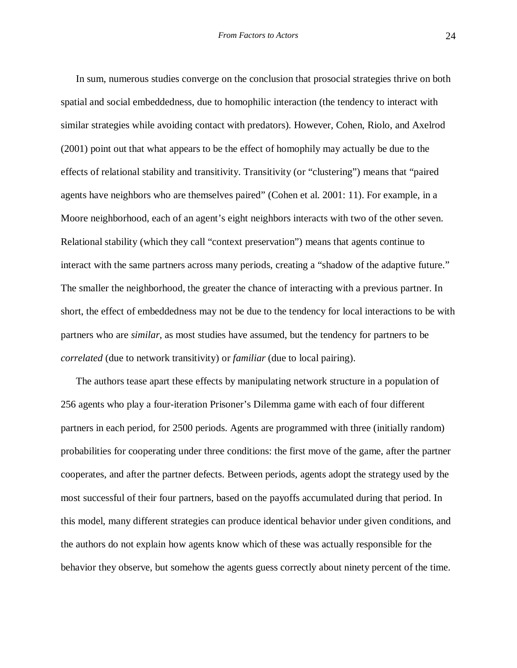In sum, numerous studies converge on the conclusion that prosocial strategies thrive on both spatial and social embeddedness, due to homophilic interaction (the tendency to interact with similar strategies while avoiding contact with predators). However, Cohen, Riolo, and Axelrod (2001) point out that what appears to be the effect of homophily may actually be due to the effects of relational stability and transitivity. Transitivity (or "clustering") means that "paired agents have neighbors who are themselves paired" (Cohen et al. 2001: 11). For example, in a Moore neighborhood, each of an agent's eight neighbors interacts with two of the other seven. Relational stability (which they call "context preservation") means that agents continue to interact with the same partners across many periods, creating a "shadow of the adaptive future." The smaller the neighborhood, the greater the chance of interacting with a previous partner. In short, the effect of embeddedness may not be due to the tendency for local interactions to be with partners who are *similar*, as most studies have assumed, but the tendency for partners to be *correlated* (due to network transitivity) or *familiar* (due to local pairing).

The authors tease apart these effects by manipulating network structure in a population of 256 agents who play a four-iteration Prisoner's Dilemma game with each of four different partners in each period, for 2500 periods. Agents are programmed with three (initially random) probabilities for cooperating under three conditions: the first move of the game, after the partner cooperates, and after the partner defects. Between periods, agents adopt the strategy used by the most successful of their four partners, based on the payoffs accumulated during that period. In this model, many different strategies can produce identical behavior under given conditions, and the authors do not explain how agents know which of these was actually responsible for the behavior they observe, but somehow the agents guess correctly about ninety percent of the time.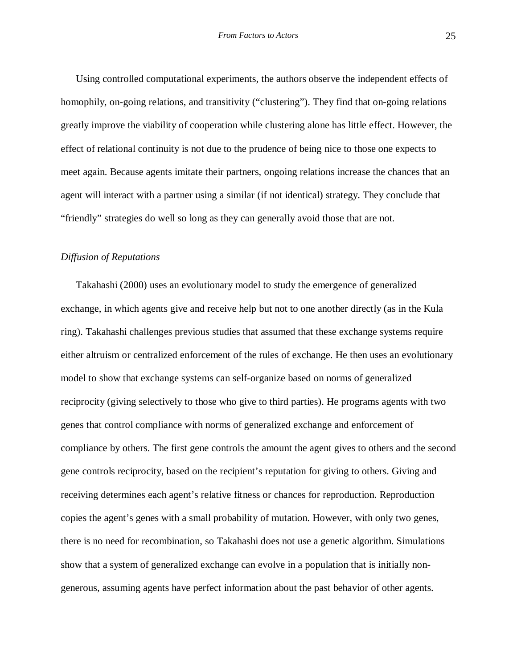Using controlled computational experiments, the authors observe the independent effects of homophily, on-going relations, and transitivity ("clustering"). They find that on-going relations greatly improve the viability of cooperation while clustering alone has little effect. However, the effect of relational continuity is not due to the prudence of being nice to those one expects to meet again. Because agents imitate their partners, ongoing relations increase the chances that an agent will interact with a partner using a similar (if not identical) strategy. They conclude that "friendly" strategies do well so long as they can generally avoid those that are not.

#### *Diffusion of Reputations*

Takahashi (2000) uses an evolutionary model to study the emergence of generalized exchange, in which agents give and receive help but not to one another directly (as in the Kula ring). Takahashi challenges previous studies that assumed that these exchange systems require either altruism or centralized enforcement of the rules of exchange. He then uses an evolutionary model to show that exchange systems can self-organize based on norms of generalized reciprocity (giving selectively to those who give to third parties). He programs agents with two genes that control compliance with norms of generalized exchange and enforcement of compliance by others. The first gene controls the amount the agent gives to others and the second gene controls reciprocity, based on the recipient's reputation for giving to others. Giving and receiving determines each agent's relative fitness or chances for reproduction. Reproduction copies the agent's genes with a small probability of mutation. However, with only two genes, there is no need for recombination, so Takahashi does not use a genetic algorithm. Simulations show that a system of generalized exchange can evolve in a population that is initially nongenerous, assuming agents have perfect information about the past behavior of other agents.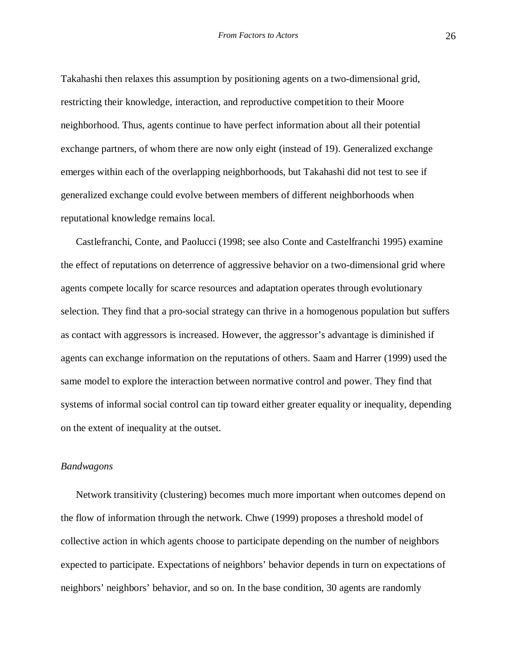Takahashi then relaxes this assumption by positioning agents on a two-dimensional grid, restricting their knowledge, interaction, and reproductive competition to their Moore neighborhood. Thus, agents continue to have perfect information about all their potential exchange partners, of whom there are now only eight (instead of 19). Generalized exchange emerges within each of the overlapping neighborhoods, but Takahashi did not test to see if generalized exchange could evolve between members of different neighborhoods when reputational knowledge remains local.

Castlefranchi, Conte, and Paolucci (1998; see also Conte and Castelfranchi 1995) examine the effect of reputations on deterrence of aggressive behavior on a two-dimensional grid where agents compete locally for scarce resources and adaptation operates through evolutionary selection. They find that a pro-social strategy can thrive in a homogenous population but suffers as contact with aggressors is increased. However, the aggressor's advantage is diminished if agents can exchange information on the reputations of others. Saam and Harrer (1999) used the same model to explore the interaction between normative control and power. They find that systems of informal social control can tip toward either greater equality or inequality, depending on the extent of inequality at the outset.

## *Bandwagons*

Network transitivity (clustering) becomes much more important when outcomes depend on the flow of information through the network. Chwe (1999) proposes a threshold model of collective action in which agents choose to participate depending on the number of neighbors expected to participate. Expectations of neighbors' behavior depends in turn on expectations of neighbors' neighbors' behavior, and so on. In the base condition, 30 agents are randomly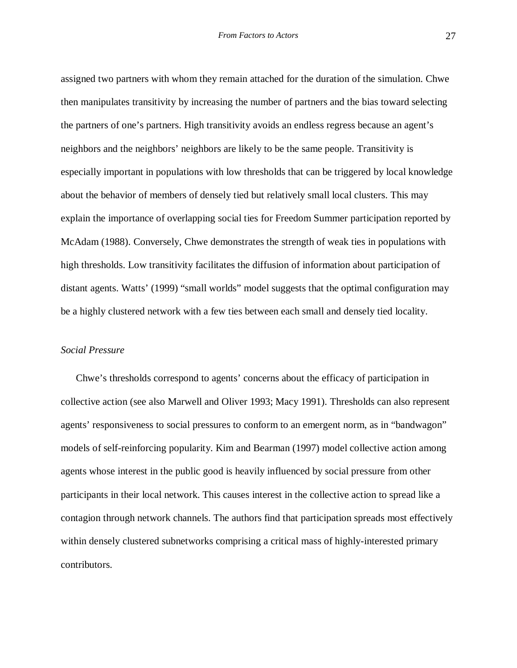assigned two partners with whom they remain attached for the duration of the simulation. Chwe then manipulates transitivity by increasing the number of partners and the bias toward selecting the partners of one's partners. High transitivity avoids an endless regress because an agent's neighbors and the neighbors' neighbors are likely to be the same people. Transitivity is especially important in populations with low thresholds that can be triggered by local knowledge about the behavior of members of densely tied but relatively small local clusters. This may explain the importance of overlapping social ties for Freedom Summer participation reported by McAdam (1988). Conversely, Chwe demonstrates the strength of weak ties in populations with high thresholds. Low transitivity facilitates the diffusion of information about participation of distant agents. Watts' (1999) "small worlds" model suggests that the optimal configuration may be a highly clustered network with a few ties between each small and densely tied locality.

## *Social Pressure*

Chwe's thresholds correspond to agents' concerns about the efficacy of participation in collective action (see also Marwell and Oliver 1993; Macy 1991). Thresholds can also represent agents' responsiveness to social pressures to conform to an emergent norm, as in "bandwagon" models of self-reinforcing popularity. Kim and Bearman (1997) model collective action among agents whose interest in the public good is heavily influenced by social pressure from other participants in their local network. This causes interest in the collective action to spread like a contagion through network channels. The authors find that participation spreads most effectively within densely clustered subnetworks comprising a critical mass of highly-interested primary contributors.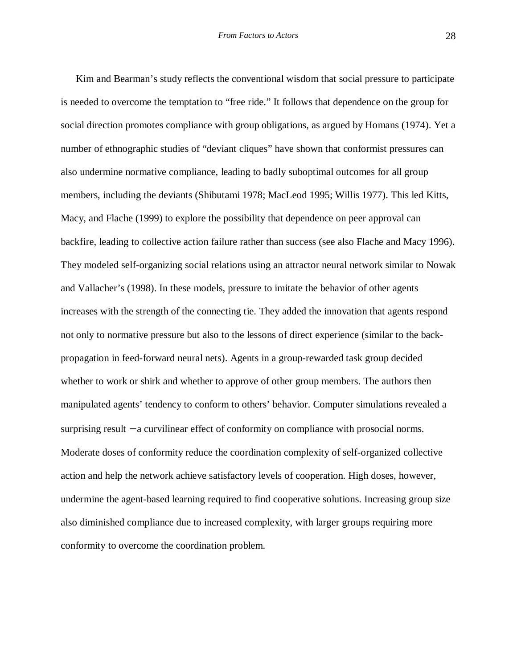Kim and Bearman's study reflects the conventional wisdom that social pressure to participate is needed to overcome the temptation to "free ride." It follows that dependence on the group for social direction promotes compliance with group obligations, as argued by Homans (1974). Yet a number of ethnographic studies of "deviant cliques" have shown that conformist pressures can also undermine normative compliance, leading to badly suboptimal outcomes for all group members, including the deviants (Shibutami 1978; MacLeod 1995; Willis 1977). This led Kitts, Macy, and Flache (1999) to explore the possibility that dependence on peer approval can backfire, leading to collective action failure rather than success (see also Flache and Macy 1996). They modeled self-organizing social relations using an attractor neural network similar to Nowak and Vallacher's (1998). In these models, pressure to imitate the behavior of other agents increases with the strength of the connecting tie. They added the innovation that agents respond not only to normative pressure but also to the lessons of direct experience (similar to the backpropagation in feed-forward neural nets). Agents in a group-rewarded task group decided whether to work or shirk and whether to approve of other group members. The authors then manipulated agents' tendency to conform to others' behavior. Computer simulations revealed a surprising result – a curvilinear effect of conformity on compliance with prosocial norms. Moderate doses of conformity reduce the coordination complexity of self-organized collective action and help the network achieve satisfactory levels of cooperation. High doses, however, undermine the agent-based learning required to find cooperative solutions. Increasing group size also diminished compliance due to increased complexity, with larger groups requiring more conformity to overcome the coordination problem.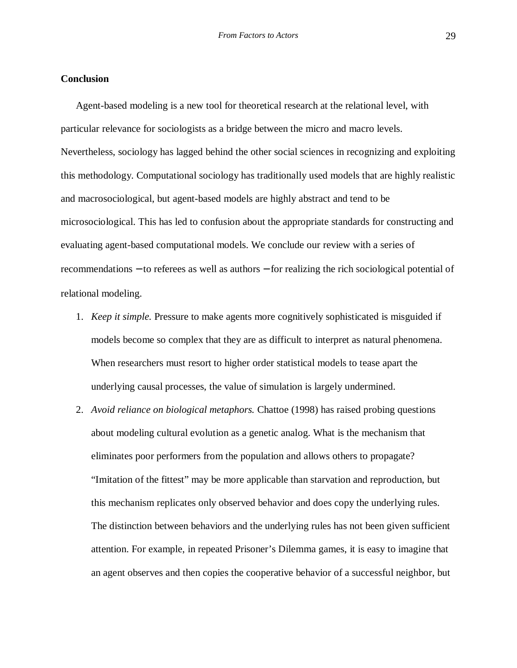# **Conclusion**

Agent-based modeling is a new tool for theoretical research at the relational level, with particular relevance for sociologists as a bridge between the micro and macro levels. Nevertheless, sociology has lagged behind the other social sciences in recognizing and exploiting this methodology. Computational sociology has traditionally used models that are highly realistic and macrosociological, but agent-based models are highly abstract and tend to be microsociological. This has led to confusion about the appropriate standards for constructing and evaluating agent-based computational models. We conclude our review with a series of recommendations − to referees as well as authors − for realizing the rich sociological potential of relational modeling.

- 1. *Keep it simple.* Pressure to make agents more cognitively sophisticated is misguided if models become so complex that they are as difficult to interpret as natural phenomena. When researchers must resort to higher order statistical models to tease apart the underlying causal processes, the value of simulation is largely undermined.
- 2. *Avoid reliance on biological metaphors.* Chattoe (1998) has raised probing questions about modeling cultural evolution as a genetic analog. What is the mechanism that eliminates poor performers from the population and allows others to propagate? "Imitation of the fittest" may be more applicable than starvation and reproduction, but this mechanism replicates only observed behavior and does copy the underlying rules. The distinction between behaviors and the underlying rules has not been given sufficient attention. For example, in repeated Prisoner's Dilemma games, it is easy to imagine that an agent observes and then copies the cooperative behavior of a successful neighbor, but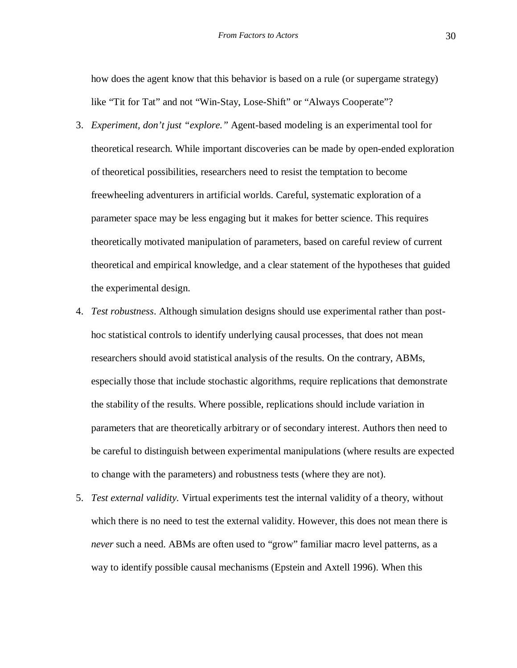how does the agent know that this behavior is based on a rule (or supergame strategy) like "Tit for Tat" and not "Win-Stay, Lose-Shift" or "Always Cooperate"?

- 3. *Experiment, don't just "explore."* Agent-based modeling is an experimental tool for theoretical research. While important discoveries can be made by open-ended exploration of theoretical possibilities, researchers need to resist the temptation to become freewheeling adventurers in artificial worlds. Careful, systematic exploration of a parameter space may be less engaging but it makes for better science. This requires theoretically motivated manipulation of parameters, based on careful review of current theoretical and empirical knowledge, and a clear statement of the hypotheses that guided the experimental design.
- 4. *Test robustness*. Although simulation designs should use experimental rather than posthoc statistical controls to identify underlying causal processes, that does not mean researchers should avoid statistical analysis of the results. On the contrary, ABMs, especially those that include stochastic algorithms, require replications that demonstrate the stability of the results. Where possible, replications should include variation in parameters that are theoretically arbitrary or of secondary interest. Authors then need to be careful to distinguish between experimental manipulations (where results are expected to change with the parameters) and robustness tests (where they are not).
- 5. *Test external validity.* Virtual experiments test the internal validity of a theory, without which there is no need to test the external validity. However, this does not mean there is *never* such a need. ABMs are often used to "grow" familiar macro level patterns, as a way to identify possible causal mechanisms (Epstein and Axtell 1996). When this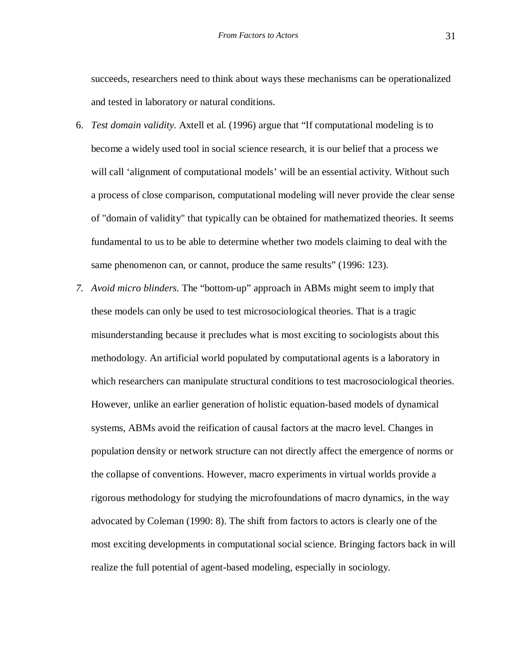succeeds, researchers need to think about ways these mechanisms can be operationalized and tested in laboratory or natural conditions.

- 6. *Test domain validity.* Axtell et al. (1996) argue that "If computational modeling is to become a widely used tool in social science research, it is our belief that a process we will call 'alignment of computational models' will be an essential activity. Without such a process of close comparison, computational modeling will never provide the clear sense of "domain of validity" that typically can be obtained for mathematized theories. It seems fundamental to us to be able to determine whether two models claiming to deal with the same phenomenon can, or cannot, produce the same results" (1996: 123).
- *7. Avoid micro blinders.* The "bottom-up" approach in ABMs might seem to imply that these models can only be used to test microsociological theories. That is a tragic misunderstanding because it precludes what is most exciting to sociologists about this methodology. An artificial world populated by computational agents is a laboratory in which researchers can manipulate structural conditions to test macrosociological theories. However, unlike an earlier generation of holistic equation-based models of dynamical systems, ABMs avoid the reification of causal factors at the macro level. Changes in population density or network structure can not directly affect the emergence of norms or the collapse of conventions. However, macro experiments in virtual worlds provide a rigorous methodology for studying the microfoundations of macro dynamics, in the way advocated by Coleman (1990: 8). The shift from factors to actors is clearly one of the most exciting developments in computational social science. Bringing factors back in will realize the full potential of agent-based modeling, especially in sociology.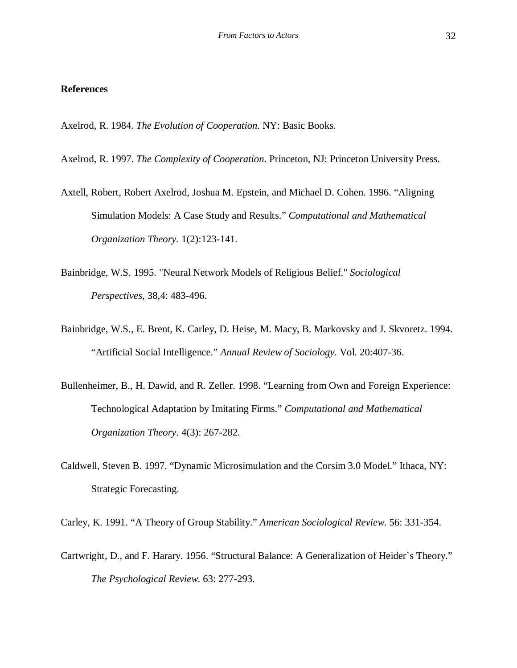#### **References**

Axelrod, R. 1984. *The Evolution of Cooperation*. NY: Basic Books.

Axelrod, R. 1997. *The Complexity of Cooperation*. Princeton, NJ: Princeton University Press.

- Axtell, Robert, Robert Axelrod, Joshua M. Epstein, and Michael D. Cohen. 1996. "Aligning Simulation Models: A Case Study and Results." *Computational and Mathematical Organization Theory*. 1(2):123-141.
- Bainbridge, W.S. 1995. "Neural Network Models of Religious Belief." *Sociological Perspectives*, 38,4: 483-496.
- Bainbridge, W.S., E. Brent, K. Carley, D. Heise, M. Macy, B. Markovsky and J. Skvoretz. 1994. "Artificial Social Intelligence." *Annual Review of Sociology*. Vol. 20:407-36.
- Bullenheimer, B., H. Dawid, and R. Zeller. 1998. "Learning from Own and Foreign Experience: Technological Adaptation by Imitating Firms." *Computational and Mathematical Organization Theory*. 4(3): 267-282.
- Caldwell, Steven B. 1997. "Dynamic Microsimulation and the Corsim 3.0 Model." Ithaca, NY: Strategic Forecasting.

Carley, K. 1991. "A Theory of Group Stability." *American Sociological Review*. 56: 331-354.

Cartwright, D., and F. Harary. 1956. "Structural Balance: A Generalization of Heider`s Theory." *The Psychological Review*. 63: 277-293.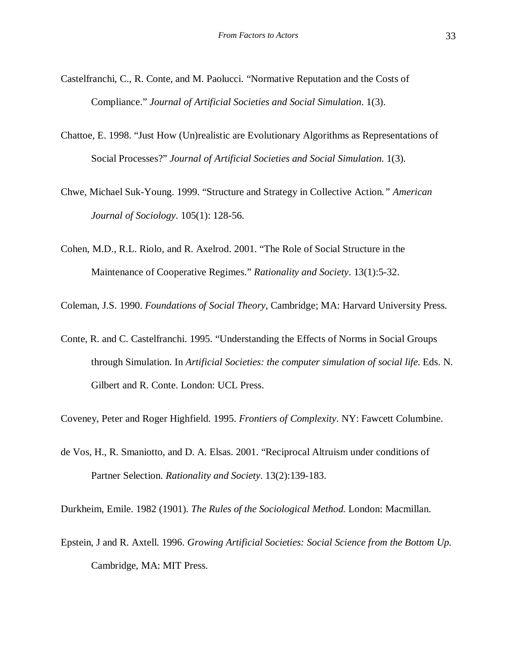- Castelfranchi, C., R. Conte, and M. Paolucci. "Normative Reputation and the Costs of Compliance." *Journal of Artificial Societies and Social Simulation*. 1(3).
- Chattoe, E. 1998. "Just How (Un)realistic are Evolutionary Algorithms as Representations of Social Processes?" *Journal of Artificial Societies and Social Simulation*. 1(3).
- Chwe, Michael Suk-Young. 1999. "Structure and Strategy in Collective Action*." American Journal of Sociology*. 105(1): 128-56.
- Cohen, M.D., R.L. Riolo, and R. Axelrod. 2001. "The Role of Social Structure in the Maintenance of Cooperative Regimes." *Rationality and Society*. 13(1):5-32.
- Coleman, J.S. 1990. *Foundations of Social Theory*, Cambridge; MA: Harvard University Press.
- Conte, R. and C. Castelfranchi. 1995. "Understanding the Effects of Norms in Social Groups through Simulation. In *Artificial Societies: the computer simulation of social life*. Eds. N. Gilbert and R. Conte. London: UCL Press.

Coveney, Peter and Roger Highfield. 1995. *Frontiers of Complexity*. NY: Fawcett Columbine.

de Vos, H., R. Smaniotto, and D. A. Elsas. 2001. "Reciprocal Altruism under conditions of Partner Selection. *Rationality and Society*. 13(2):139-183.

Durkheim, Emile. 1982 (1901). *The Rules of the Sociological Method.* London: Macmillan.

Epstein, J and R. Axtell. 1996. *Growing Artificial Societies: Social Science from the Bottom Up*. Cambridge, MA: MIT Press.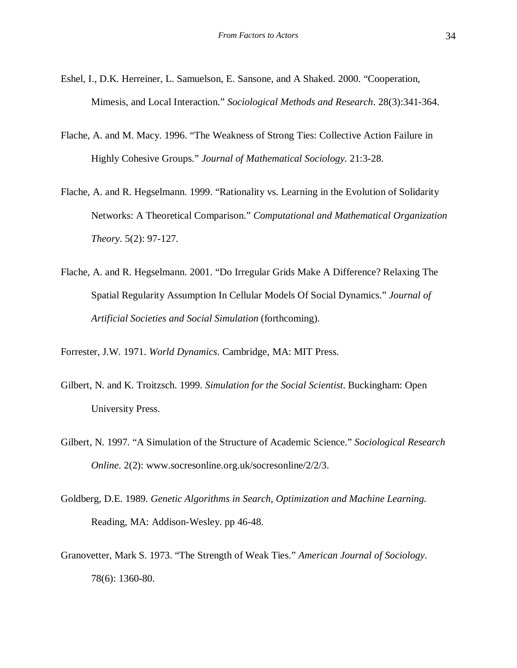- Eshel, I., D.K. Herreiner, L. Samuelson, E. Sansone, and A Shaked. 2000. "Cooperation, Mimesis, and Local Interaction." *Sociological Methods and Research*. 28(3):341-364.
- Flache, A. and M. Macy. 1996. "The Weakness of Strong Ties: Collective Action Failure in Highly Cohesive Groups." *Journal of Mathematical Sociology*. 21:3-28.
- Flache, A. and R. Hegselmann. 1999. "Rationality vs. Learning in the Evolution of Solidarity Networks: A Theoretical Comparison." *Computational and Mathematical Organization Theory*. 5(2): 97-127.
- Flache, A. and R. Hegselmann. 2001. "Do Irregular Grids Make A Difference? Relaxing The Spatial Regularity Assumption In Cellular Models Of Social Dynamics." *Journal of Artificial Societies and Social Simulation* (forthcoming)*.*

Forrester, J.W. 1971. *World Dynamics*. Cambridge, MA: MIT Press.

- Gilbert, N. and K. Troitzsch. 1999. *Simulation for the Social Scientist*. Buckingham: Open University Press.
- Gilbert, N. 1997. "A Simulation of the Structure of Academic Science." *Sociological Research Online*. 2(2): www.socresonline.org.uk/socresonline/2/2/3.
- Goldberg, D.E. 1989. *Genetic Algorithms in Search, Optimization and Machine Learning.* Reading, MA: Addison-Wesley. pp 46-48.
- Granovetter, Mark S. 1973. "The Strength of Weak Ties." *American Journal of Sociology*. 78(6): 1360-80.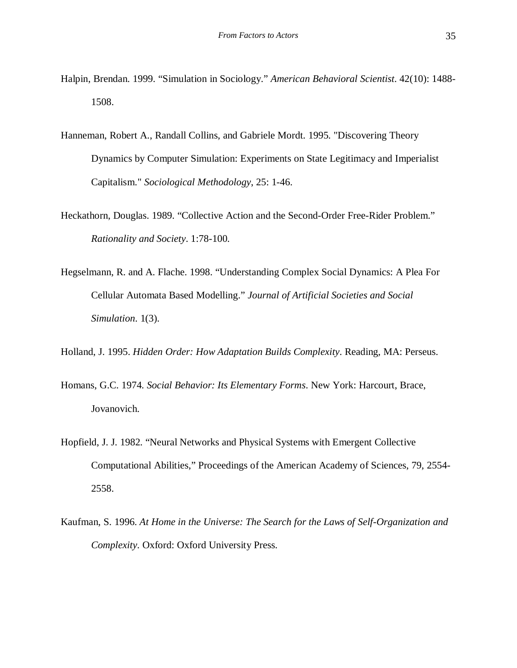- Halpin, Brendan. 1999. "Simulation in Sociology." *American Behavioral Scientist*. 42(10): 1488- 1508.
- Hanneman, Robert A., Randall Collins, and Gabriele Mordt. 1995. "Discovering Theory Dynamics by Computer Simulation: Experiments on State Legitimacy and Imperialist Capitalism." *Sociological Methodology*, 25: 1-46.
- Heckathorn, Douglas. 1989. "Collective Action and the Second-Order Free-Rider Problem." *Rationality and Society*. 1:78-100.
- Hegselmann, R. and A. Flache. 1998. "Understanding Complex Social Dynamics: A Plea For Cellular Automata Based Modelling." *Journal of Artificial Societies and Social Simulation*. 1(3).
- Holland, J. 1995. *Hidden Order: How Adaptation Builds Complexity*. Reading, MA: Perseus.
- Homans, G.C. 1974. *Social Behavior: Its Elementary Forms*. New York: Harcourt, Brace, Jovanovich.
- Hopfield, J. J. 1982. "Neural Networks and Physical Systems with Emergent Collective Computational Abilities," Proceedings of the American Academy of Sciences, 79, 2554- 2558.
- Kaufman, S. 1996. *At Home in the Universe: The Search for the Laws of Self-Organization and Complexity*. Oxford: Oxford University Press.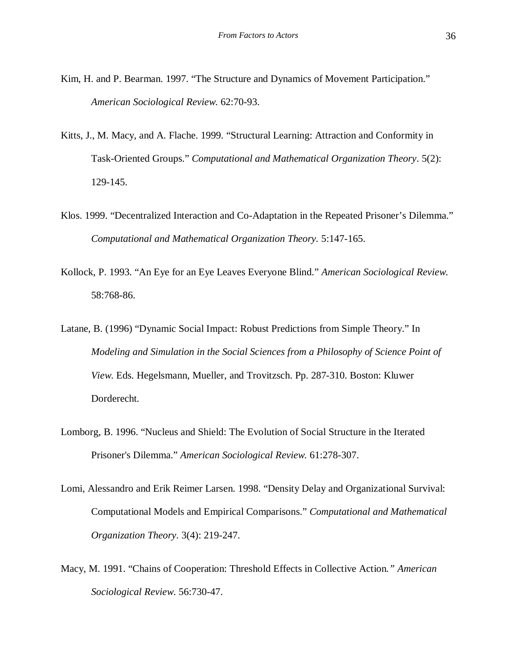- Kim, H. and P. Bearman. 1997. "The Structure and Dynamics of Movement Participation." *American Sociological Review*. 62:70-93.
- Kitts, J., M. Macy, and A. Flache. 1999. "Structural Learning: Attraction and Conformity in Task-Oriented Groups." *Computational and Mathematical Organization Theory*. 5(2): 129-145.
- Klos. 1999. "Decentralized Interaction and Co-Adaptation in the Repeated Prisoner's Dilemma." *Computational and Mathematical Organization Theory.* 5:147-165.
- Kollock, P. 1993. "An Eye for an Eye Leaves Everyone Blind." *American Sociological Review*. 58:768-86.
- Latane, B. (1996) "Dynamic Social Impact: Robust Predictions from Simple Theory." In *Modeling and Simulation in the Social Sciences from a Philosophy of Science Point of View*. Eds. Hegelsmann, Mueller, and Trovitzsch. Pp. 287-310. Boston: Kluwer Dorderecht.
- Lomborg, B. 1996. "Nucleus and Shield: The Evolution of Social Structure in the Iterated Prisoner's Dilemma." *American Sociological Review.* 61:278-307.
- Lomi, Alessandro and Erik Reimer Larsen. 1998. "Density Delay and Organizational Survival: Computational Models and Empirical Comparisons." *Computational and Mathematical Organization Theory*. 3(4): 219-247.
- Macy, M. 1991. "Chains of Cooperation: Threshold Effects in Collective Action*." American Sociological Review*. 56:730-47.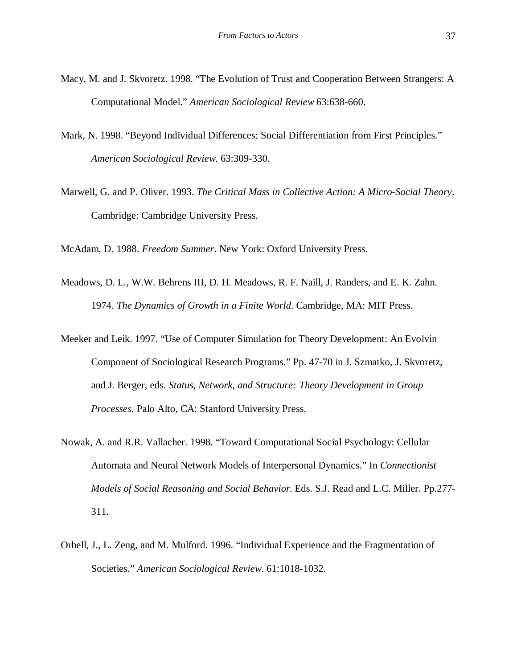- Macy, M. and J. Skvoretz. 1998. "The Evolution of Trust and Cooperation Between Strangers: A Computational Model." *American Sociological Review* 63:638-660.
- Mark, N. 1998. "Beyond Individual Differences: Social Differentiation from First Principles." *American Sociological Review*. 63:309-330.
- Marwell, G. and P. Oliver. 1993. *The Critical Mass in Collective Action: A Micro-Social Theory*. Cambridge: Cambridge University Press.

McAdam, D. 1988. *Freedom Summer*. New York: Oxford University Press.

- Meadows, D. L., W.W. Behrens III, D. H. Meadows, R. F. Naill, J. Randers, and E. K. Zahn. 1974. *The Dynamics of Growth in a Finite World*. Cambridge, MA: MIT Press.
- Meeker and Leik. 1997. "Use of Computer Simulation for Theory Development: An Evolvin Component of Sociological Research Programs." Pp. 47-70 in J. Szmatko, J. Skvoretz, and J. Berger, eds. *Status, Network, and Structure: Theory Development in Group Processes.* Palo Alto, CA: Stanford University Press.
- Nowak, A. and R.R. Vallacher. 1998. "Toward Computational Social Psychology: Cellular Automata and Neural Network Models of Interpersonal Dynamics." In *Connectionist Models of Social Reasoning and Social Behavior*. Eds. S.J. Read and L.C. Miller. Pp.277- 311.
- Orbell, J., L. Zeng, and M. Mulford. 1996. "Individual Experience and the Fragmentation of Societies." *American Sociological Review*. 61:1018-1032.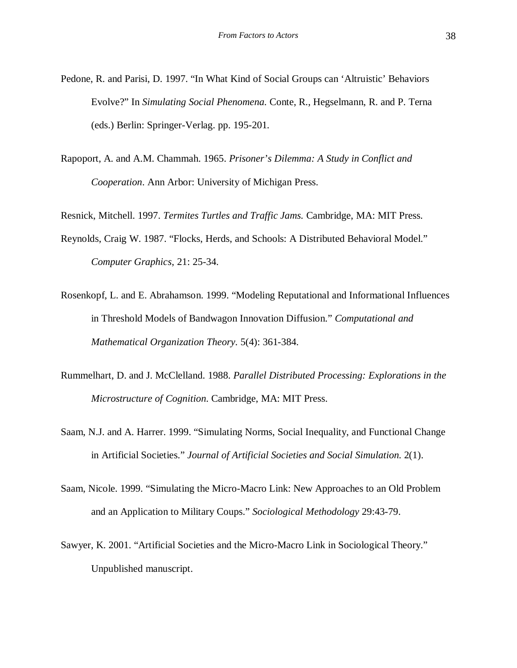- Pedone, R. and Parisi, D. 1997. "In What Kind of Social Groups can 'Altruistic' Behaviors Evolve?" In *Simulating Social Phenomena.* Conte, R., Hegselmann, R. and P. Terna (eds.) Berlin: Springer-Verlag. pp. 195-201.
- Rapoport, A. and A.M. Chammah. 1965. *Prisoner's Dilemma: A Study in Conflict and Cooperation*. Ann Arbor: University of Michigan Press.

Resnick, Mitchell. 1997. *Termites Turtles and Traffic Jams.* Cambridge, MA: MIT Press.

- Reynolds, Craig W. 1987. "Flocks, Herds, and Schools: A Distributed Behavioral Model." *Computer Graphics*, 21: 25-34.
- Rosenkopf, L. and E. Abrahamson. 1999. "Modeling Reputational and Informational Influences in Threshold Models of Bandwagon Innovation Diffusion." *Computational and Mathematical Organization Theory*. 5(4): 361-384.
- Rummelhart, D. and J. McClelland. 1988. *Parallel Distributed Processing: Explorations in the Microstructure of Cognition*. Cambridge, MA: MIT Press.
- Saam, N.J. and A. Harrer. 1999. "Simulating Norms, Social Inequality, and Functional Change in Artificial Societies." *Journal of Artificial Societies and Social Simulation*. 2(1).
- Saam, Nicole. 1999. "Simulating the Micro-Macro Link: New Approaches to an Old Problem and an Application to Military Coups." *Sociological Methodology* 29:43-79.
- Sawyer, K. 2001. "Artificial Societies and the Micro-Macro Link in Sociological Theory." Unpublished manuscript.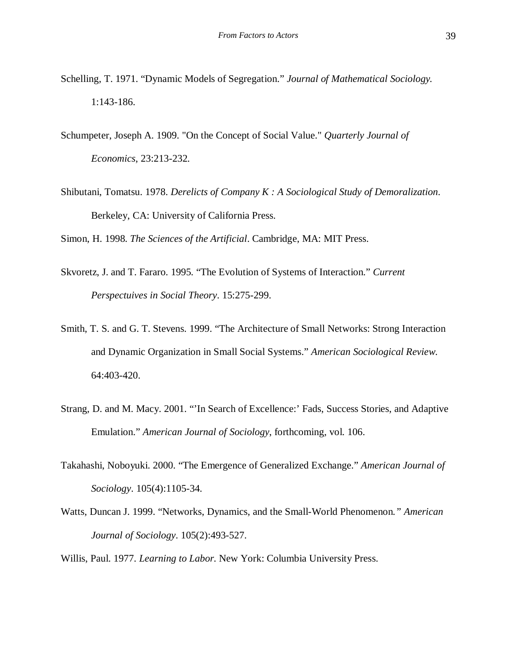- Schelling, T. 1971. "Dynamic Models of Segregation." *Journal of Mathematical Sociology.* 1:143-186.
- Schumpeter, Joseph A. 1909. "On the Concept of Social Value." *Quarterly Journal of Economics*, 23:213-232.
- Shibutani, Tomatsu. 1978. *Derelicts of Company K : A Sociological Study of Demoralization*. Berkeley, CA: University of California Press.

Simon, H. 1998. *The Sciences of the Artificial*. Cambridge, MA: MIT Press.

- Skvoretz, J. and T. Fararo. 1995. "The Evolution of Systems of Interaction." *Current Perspectuives in Social Theory*. 15:275-299.
- Smith, T. S. and G. T. Stevens. 1999. "The Architecture of Small Networks: Strong Interaction and Dynamic Organization in Small Social Systems." *American Sociological Review*. 64:403-420.
- Strang, D. and M. Macy. 2001. "'In Search of Excellence:' Fads, Success Stories, and Adaptive Emulation." *American Journal of Sociology*, forthcoming, vol. 106.
- Takahashi, Noboyuki. 2000. "The Emergence of Generalized Exchange." *American Journal of Sociology*. 105(4):1105-34.
- Watts, Duncan J. 1999. "Networks, Dynamics, and the Small-World Phenomenon*." American Journal of Sociology*. 105(2):493-527.
- Willis, Paul. 1977. *Learning to Labor.* New York: Columbia University Press.